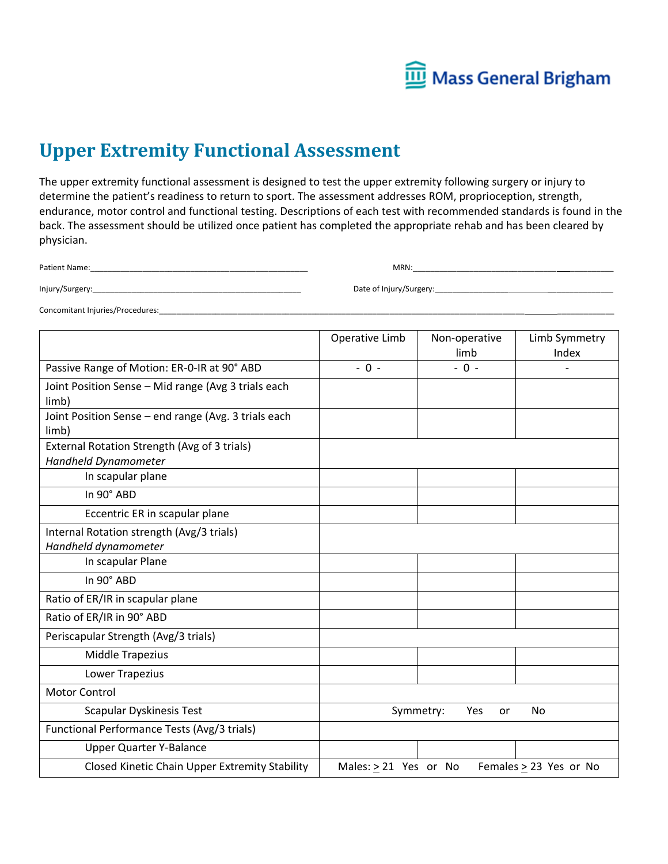

# **Upper Extremity Functional Assessment**

The upper extremity functional assessment is designed to test the upper extremity following surgery or injury to determine the patient's readiness to return to sport. The assessment addresses ROM, proprioception, strength, endurance, motor control and functional testing. Descriptions of each test with recommended standards is found in the back. The assessment should be utilized once patient has completed the appropriate rehab and has been cleared by physician.

| Patient Name:   | <b>MRN</b>              |
|-----------------|-------------------------|
| Injury/Surgery: | Date of Injury/Surgery: |

Concomitant Injuries/Procedures:

|                                                                      | Operative Limb        | Non-operative<br>limb  | Limb Symmetry<br>Index |
|----------------------------------------------------------------------|-----------------------|------------------------|------------------------|
| Passive Range of Motion: ER-0-IR at 90° ABD                          | $-0 -$                | $-0 -$                 |                        |
| Joint Position Sense - Mid range (Avg 3 trials each<br>limb)         |                       |                        |                        |
| Joint Position Sense - end range (Avg. 3 trials each<br>limb)        |                       |                        |                        |
| External Rotation Strength (Avg of 3 trials)<br>Handheld Dynamometer |                       |                        |                        |
| In scapular plane                                                    |                       |                        |                        |
| In 90° ABD                                                           |                       |                        |                        |
| Eccentric ER in scapular plane                                       |                       |                        |                        |
| Internal Rotation strength (Avg/3 trials)<br>Handheld dynamometer    |                       |                        |                        |
| In scapular Plane                                                    |                       |                        |                        |
| In 90° ABD                                                           |                       |                        |                        |
| Ratio of ER/IR in scapular plane                                     |                       |                        |                        |
| Ratio of ER/IR in 90° ABD                                            |                       |                        |                        |
| Periscapular Strength (Avg/3 trials)                                 |                       |                        |                        |
| Middle Trapezius                                                     |                       |                        |                        |
| <b>Lower Trapezius</b>                                               |                       |                        |                        |
| <b>Motor Control</b>                                                 |                       |                        |                        |
| Scapular Dyskinesis Test                                             |                       | Symmetry:<br>Yes<br>or | No                     |
| Functional Performance Tests (Avg/3 trials)                          |                       |                        |                        |
| <b>Upper Quarter Y-Balance</b>                                       |                       |                        |                        |
| Closed Kinetic Chain Upper Extremity Stability                       | Males: > 21 Yes or No |                        | Females > 23 Yes or No |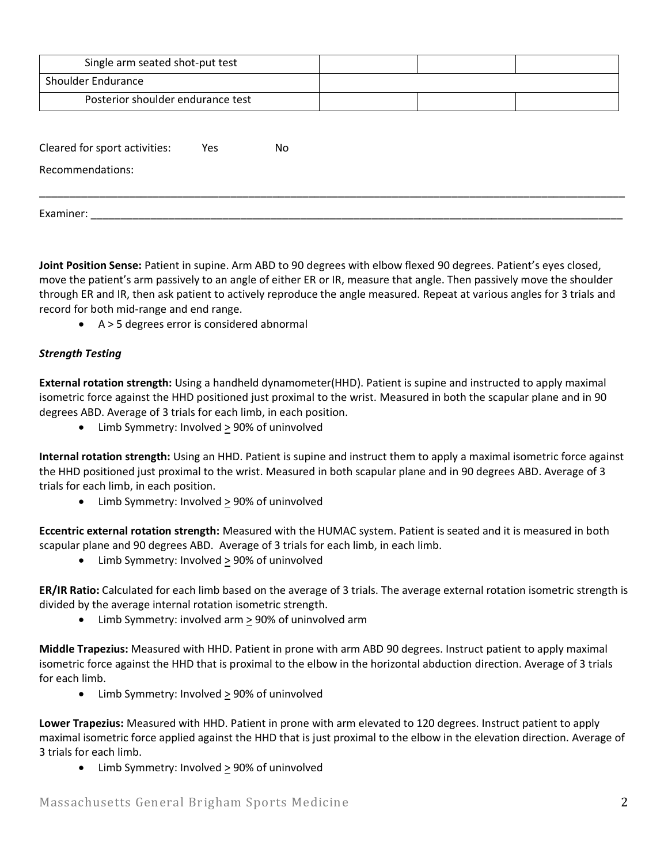| Single arm seated shot-put test   |     |    |  |  |
|-----------------------------------|-----|----|--|--|
| Shoulder Endurance                |     |    |  |  |
| Posterior shoulder endurance test |     |    |  |  |
|                                   |     |    |  |  |
| Cleared for sport activities.     | ۷۵ς | N۵ |  |  |

| Cleared for sport activities: | Yes | No |  |  |
|-------------------------------|-----|----|--|--|
| Recommendations:              |     |    |  |  |
|                               |     |    |  |  |
| Examiner:                     |     |    |  |  |

**Joint Position Sense:** Patient in supine. Arm ABD to 90 degrees with elbow flexed 90 degrees. Patient's eyes closed, move the patient's arm passively to an angle of either ER or IR, measure that angle. Then passively move the shoulder through ER and IR, then ask patient to actively reproduce the angle measured. Repeat at various angles for 3 trials and record for both mid-range and end range.

• A > 5 degrees error is considered abnormal

## *Strength Testing*

**External rotation strength:** Using a handheld dynamometer(HHD). Patient is supine and instructed to apply maximal isometric force against the HHD positioned just proximal to the wrist. Measured in both the scapular plane and in 90 degrees ABD. Average of 3 trials for each limb, in each position.

• Limb Symmetry: Involved > 90% of uninvolved

**Internal rotation strength:** Using an HHD. Patient is supine and instruct them to apply a maximal isometric force against the HHD positioned just proximal to the wrist. Measured in both scapular plane and in 90 degrees ABD. Average of 3 trials for each limb, in each position.

• Limb Symmetry: Involved  $\geq$  90% of uninvolved

**Eccentric external rotation strength:** Measured with the HUMAC system. Patient is seated and it is measured in both scapular plane and 90 degrees ABD. Average of 3 trials for each limb, in each limb.

• Limb Symmetry: Involved > 90% of uninvolved

**ER/IR Ratio:** Calculated for each limb based on the average of 3 trials. The average external rotation isometric strength is divided by the average internal rotation isometric strength.

• Limb Symmetry: involved arm > 90% of uninvolved arm

**Middle Trapezius:** Measured with HHD. Patient in prone with arm ABD 90 degrees. Instruct patient to apply maximal isometric force against the HHD that is proximal to the elbow in the horizontal abduction direction. Average of 3 trials for each limb.

• Limb Symmetry: Involved  $\geq$  90% of uninvolved

**Lower Trapezius:** Measured with HHD. Patient in prone with arm elevated to 120 degrees. Instruct patient to apply maximal isometric force applied against the HHD that is just proximal to the elbow in the elevation direction. Average of 3 trials for each limb.

• Limb Symmetry: Involved  $\geq$  90% of uninvolved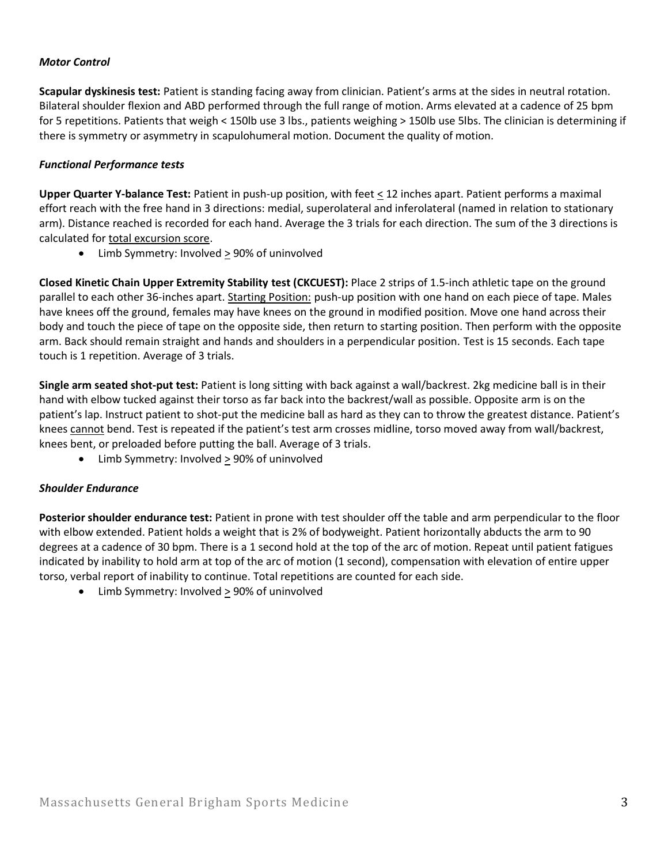### *Motor Control*

**Scapular dyskinesis test:** Patient is standing facing away from clinician. Patient's arms at the sides in neutral rotation. Bilateral shoulder flexion and ABD performed through the full range of motion. Arms elevated at a cadence of 25 bpm for 5 repetitions. Patients that weigh < 150lb use 3 lbs., patients weighing > 150lb use 5lbs. The clinician is determining if there is symmetry or asymmetry in scapulohumeral motion. Document the quality of motion.

### *Functional Performance tests*

**Upper Quarter Y-balance Test:** Patient in push-up position, with feet < 12 inches apart. Patient performs a maximal effort reach with the free hand in 3 directions: medial, superolateral and inferolateral (named in relation to stationary arm). Distance reached is recorded for each hand. Average the 3 trials for each direction. The sum of the 3 directions is calculated for total excursion score.

• Limb Symmetry: Involved > 90% of uninvolved

**Closed Kinetic Chain Upper Extremity Stability test (CKCUEST):** Place 2 strips of 1.5-inch athletic tape on the ground parallel to each other 36-inches apart. Starting Position: push-up position with one hand on each piece of tape. Males have knees off the ground, females may have knees on the ground in modified position. Move one hand across their body and touch the piece of tape on the opposite side, then return to starting position. Then perform with the opposite arm. Back should remain straight and hands and shoulders in a perpendicular position. Test is 15 seconds. Each tape touch is 1 repetition. Average of 3 trials.

**Single arm seated shot-put test:** Patient is long sitting with back against a wall/backrest. 2kg medicine ball is in their hand with elbow tucked against their torso as far back into the backrest/wall as possible. Opposite arm is on the patient's lap. Instruct patient to shot-put the medicine ball as hard as they can to throw the greatest distance. Patient's knees cannot bend. Test is repeated if the patient's test arm crosses midline, torso moved away from wall/backrest, knees bent, or preloaded before putting the ball. Average of 3 trials.

Limb Symmetry: Involved  $\geq$  90% of uninvolved

#### *Shoulder Endurance*

**Posterior shoulder endurance test:** Patient in prone with test shoulder off the table and arm perpendicular to the floor with elbow extended. Patient holds a weight that is 2% of bodyweight. Patient horizontally abducts the arm to 90 degrees at a cadence of 30 bpm. There is a 1 second hold at the top of the arc of motion. Repeat until patient fatigues indicated by inability to hold arm at top of the arc of motion (1 second), compensation with elevation of entire upper torso, verbal report of inability to continue. Total repetitions are counted for each side.

• Limb Symmetry: Involved  $\geq$  90% of uninvolved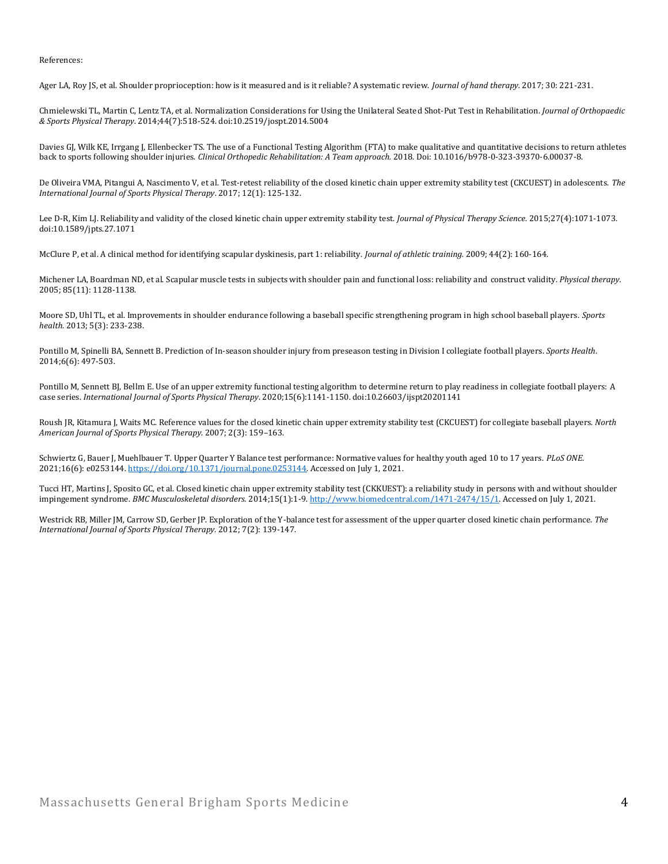References:

Ager LA, Roy JS, et al. Shoulder proprioception: how is it measured and is it reliable? A systematic review. *Journal of hand therapy.* 2017; 30: 221-231.

Chmielewski TL, Martin C, Lentz TA, et al. Normalization Considerations for Using the Unilateral Seated Shot-Put Test in Rehabilitation. *Journal of Orthopaedic & Sports Physical Therapy*. 2014;44(7):518-524. doi:10.2519/jospt.2014.5004

Davies GJ, Wilk KE, Irrgang J, Ellenbecker TS. The use of a Functional Testing Algorithm (FTA) to make qualitative and quantitative decisions to return athletes back to sports following shoulder injuries. *Clinical Orthopedic Rehabilitation: A Team approach.* 2018. Doi: 10.1016/b978-0-323-39370-6.00037-8.

De Oliveira VMA, Pitangui A, Nascimento V, et al. Test-retest reliability of the closed kinetic chain upper extremity stability test (CKCUEST) in adolescents. *The International Journal of Sports Physical Therapy*. 2017; 12(1): 125-132.

Lee D-R, Kim LJ. Reliability and validity of the closed kinetic chain upper extremity stability test. *Journal of Physical Therapy Science*. 2015;27(4):1071-1073. doi:10.1589/jpts.27.1071

McClure P, et al. A clinical method for identifying scapular dyskinesis, part 1: reliability. *Journal of athletic training.* 2009; 44(2): 160-164.

Michener LA, Boardman ND, et al. Scapular muscle tests in subjects with shoulder pain and functional loss: reliability and construct validity. *Physical therapy.* 2005; 85(11): 1128-1138.

Moore SD, Uhl TL, et al. Improvements in shoulder endurance following a baseball specific strengthening program in high school baseball players. *Sports health.* 2013; 5(3): 233-238.

Pontillo M, Spinelli BA, Sennett B. Prediction of In-season shoulder injury from preseason testing in Division I collegiate football players. *Sports Health*. 2014;6(6): 497-503.

Pontillo M, Sennett BJ, Bellm E. Use of an upper extremity functional testing algorithm to determine return to play readiness in collegiate football players: A case series. *International Journal of Sports Physical Therapy*. 2020;15(6):1141-1150. doi:10.26603/ijspt20201141

Roush JR, Kitamura J, Waits MC. Reference values for the closed kinetic chain upper extremity stability test (CKCUEST) for collegiate baseball players. *North American Journal of Sports Physical Therapy.* 2007; 2(3): 159–163.

Schwiertz G, Bauer J, Muehlbauer T. Upper Quarter Y Balance test performance: Normative values for healthy youth aged 10 to 17 years. *PLoS ONE*. 2021;16(6): e0253144[. https://doi.org/10.1371/journal.pone.0253144.](https://doi.org/10.1371/journal.pone.0253144) Accessed on July 1, 2021.

Tucci HT, Martins J, Sposito GC, et al. Closed kinetic chain upper extremity stability test (CKKUEST): a reliability study in persons with and without shoulder impingement syndrome. *BMC Musculoskeletal disorders.* 2014;15(1):1-9[. http://www.biomedcentral.com/1471-2474/15/1.](http://www.biomedcentral.com/1471-2474/15/1) Accessed on July 1, 2021.

Westrick RB, Miller JM, Carrow SD, Gerber JP. Exploration of the Y-balance test for assessment of the upper quarter closed kinetic chain performance. *The International Journal of Sports Physical Therapy.* 2012; 7(2): 139-147.